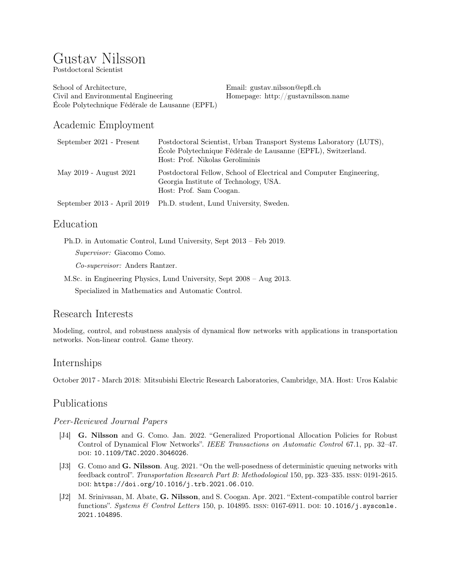# Gustav Nilsson

Postdoctoral Scientist

School of Architecture, Civil and Environmental Engineering École Polytechnique Fédérale de Lausanne (EPFL) Email: [gustav.nilsson@epfl.ch](mailto:gustav.nilsson@gmail.com) Homepage: <http://gustavnilsson.name>

# Academic Employment

| September 2021 - Present    | Postdoctoral Scientist, Urban Transport Systems Laboratory (LUTS),<br>École Polytechnique Fédérale de Lausanne (EPFL), Switzerland.<br>Host: Prof. Nikolas Geroliminis |
|-----------------------------|------------------------------------------------------------------------------------------------------------------------------------------------------------------------|
| May 2019 - August 2021      | Postdoctoral Fellow, School of Electrical and Computer Engineering,<br>Georgia Institute of Technology, USA.<br>Host: Prof. Sam Coogan.                                |
| September 2013 - April 2019 | Ph.D. student, Lund University, Sweden.                                                                                                                                |

## Education

Ph.D. in Automatic Control, Lund University, Sept 2013 – Feb 2019. Supervisor: Giacomo Como.

Co-supervisor: Anders Rantzer.

M.Sc. in Engineering Physics, Lund University, Sept 2008 – Aug 2013. Specialized in Mathematics and Automatic Control.

# Research Interests

Modeling, control, and robustness analysis of dynamical flow networks with applications in transportation networks. Non-linear control. Game theory.

# Internships

October 2017 - March 2018: Mitsubishi Electric Research Laboratories, Cambridge, MA. Host: Uros Kalabic

# Publications

#### Peer-Reviewed Journal Papers

- [J4] G. Nilsson and G. Como. Jan. 2022. "Generalized Proportional Allocation Policies for Robust Control of Dynamical Flow Networks". IEEE Transactions on Automatic Control 67.1, pp. 32–47. doi: [10.1109/TAC.2020.3046026](https://doi.org/10.1109/TAC.2020.3046026).
- [J3] G. Como and G. Nilsson. Aug. 2021. "On the well-posedness of deterministic queuing networks with feedback control". Transportation Research Part B: Methodological 150, pp. 323–335. issn: 0191-2615. doi: [https://doi.org/10.1016/j.trb.2021.06.010](https://doi.org/https://doi.org/10.1016/j.trb.2021.06.010).
- [J2] M. Srinivasan, M. Abate, G. Nilsson, and S. Coogan. Apr. 2021. "Extent-compatible control barrier functions". Systems & Control Letters 150, p. 104895. ISSN: 0167-6911. DOI: [10.1016/j.sysconle.](https://doi.org/10.1016/j.sysconle.2021.104895) [2021.104895](https://doi.org/10.1016/j.sysconle.2021.104895).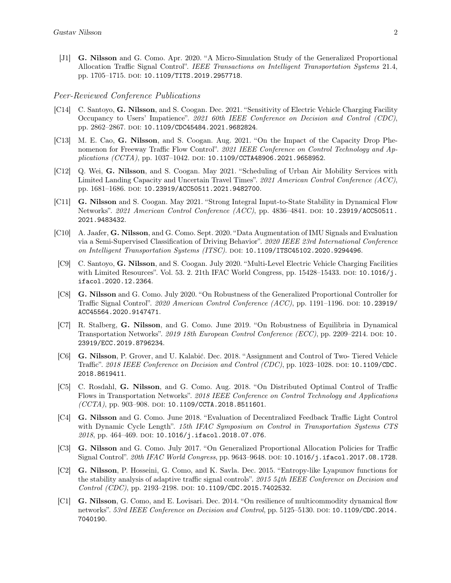[J1] G. Nilsson and G. Como. Apr. 2020. "A Micro-Simulation Study of the Generalized Proportional Allocation Traffic Signal Control". IEEE Transactions on Intelligent Transportation Systems 21.4, pp. 1705-1715. doi: [10.1109/TITS.2019.2957718](https://doi.org/10.1109/TITS.2019.2957718).

#### Peer-Reviewed Conference Publications

- [C14] C. Santoyo, G. Nilsson, and S. Coogan. Dec. 2021. "Sensitivity of Electric Vehicle Charging Facility Occupancy to Users' Impatience". 2021 60th IEEE Conference on Decision and Control (CDC), pp. 2862-2867. doi: [10.1109/CDC45484.2021.9682824](https://doi.org/10.1109/CDC45484.2021.9682824).
- [C13] M. E. Cao, G. Nilsson, and S. Coogan. Aug. 2021. "On the Impact of the Capacity Drop Phenomenon for Freeway Traffic Flow Control". 2021 IEEE Conference on Control Technology and Ap-plications (CCTA), pp. 1037-1042. doi: [10.1109/CCTA48906.2021.9658952](https://doi.org/10.1109/CCTA48906.2021.9658952).
- [C12] Q. Wei, G. Nilsson, and S. Coogan. May 2021. "Scheduling of Urban Air Mobility Services with Limited Landing Capacity and Uncertain Travel Times". 2021 American Control Conference (ACC), pp. 1681-1686. DOI: [10.23919/ACC50511.2021.9482700](https://doi.org/10.23919/ACC50511.2021.9482700).
- [C11] G. Nilsson and S. Coogan. May 2021. "Strong Integral Input-to-State Stability in Dynamical Flow Networks". 2021 American Control Conference (ACC), pp. 4836-4841. DOI: [10.23919/ACC50511.](https://doi.org/10.23919/ACC50511.2021.9483432) [2021.9483432](https://doi.org/10.23919/ACC50511.2021.9483432).
- [C10] A. Jaafer, G. Nilsson, and G. Como. Sept. 2020. "Data Augmentation of IMU Signals and Evaluation via a Semi-Supervised Classification of Driving Behavior". 2020 IEEE 23rd International Conference on Intelligent Transportation Systems (ITSC). doi: [10.1109/ITSC45102.2020.9294496](https://doi.org/10.1109/ITSC45102.2020.9294496).
- [C9] C. Santoyo, G. Nilsson, and S. Coogan. July 2020. "Multi-Level Electric Vehicle Charging Facilities with Limited Resources". Vol. 53. 2. 21th IFAC World Congress, pp.  $15428-15433$ . DOI:  $10.1016/j$ . [ifacol.2020.12.2364](https://doi.org/10.1016/j.ifacol.2020.12.2364).
- [C8] G. Nilsson and G. Como. July 2020. "On Robustness of the Generalized Proportional Controller for Traffic Signal Control". 2020 American Control Conference (ACC), pp. 1191–1196. doi: [10.23919/](https://doi.org/10.23919/ACC45564.2020.9147471) [ACC45564.2020.9147471](https://doi.org/10.23919/ACC45564.2020.9147471).
- [C7] R. Stalberg, G. Nilsson, and G. Como. June 2019. "On Robustness of Equilibria in Dynamical Transportation Networks". 2019 18th European Control Conference (ECC), pp. 2209–2214. DOI: [10.](https://doi.org/10.23919/ECC.2019.8796234) [23919/ECC.2019.8796234](https://doi.org/10.23919/ECC.2019.8796234).
- [C6] G. Nilsson, P. Grover, and U. Kalabić. Dec. 2018. "Assignment and Control of Two- Tiered Vehicle Traffic". 2018 IEEE Conference on Decision and Control (CDC), pp. 1023–1028. DOI: [10.1109/CDC.](https://doi.org/10.1109/CDC.2018.8619411) [2018.8619411](https://doi.org/10.1109/CDC.2018.8619411).
- [C5] C. Rosdahl, G. Nilsson, and G. Como. Aug. 2018. "On Distributed Optimal Control of Traffic Flows in Transportation Networks". 2018 IEEE Conference on Control Technology and Applications (CCTA), pp. 903-908. doi: [10.1109/CCTA.2018.8511601](https://doi.org/10.1109/CCTA.2018.8511601).
- [C4] G. Nilsson and G. Como. June 2018. "Evaluation of Decentralized Feedback Traffic Light Control with Dynamic Cycle Length". 15th IFAC Symposium on Control in Transportation Systems CTS  $2018$ , pp. 464-469. DOI: [10.1016/j.ifacol.2018.07.076](https://doi.org/10.1016/j.ifacol.2018.07.076).
- [C3] G. Nilsson and G. Como. July 2017. "On Generalized Proportional Allocation Policies for Traffic Signal Control". 20th IFAC World Congress, pp. 9643-9648. DOI: [10.1016/j.ifacol.2017.08.1728](https://doi.org/10.1016/j.ifacol.2017.08.1728).
- [C2] G. Nilsson, P. Hosseini, G. Como, and K. Savla. Dec. 2015. "Entropy-like Lyapunov functions for the stability analysis of adaptive traffic signal controls". 2015 54th IEEE Conference on Decision and Control (CDC), pp. 2193–2198. doi: [10.1109/CDC.2015.7402532](https://doi.org/10.1109/CDC.2015.7402532).
- [C1] G. Nilsson, G. Como, and E. Lovisari. Dec. 2014. "On resilience of multicommodity dynamical flow networks". 53rd IEEE Conference on Decision and Control, pp. 5125-5130. DOI: [10.1109/CDC.2014.](https://doi.org/10.1109/CDC.2014.7040190) [7040190](https://doi.org/10.1109/CDC.2014.7040190).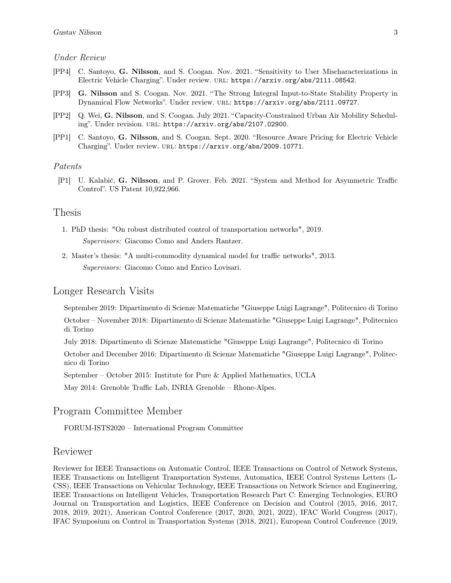#### Under Review

- [PP4] C. Santoyo, G. Nilsson, and S. Coogan. Nov. 2021. "Sensitivity to User Mischaracterizations in Electric Vehicle Charging". Under review. url: <https://arxiv.org/abs/2111.08542>.
- [PP3] G. Nilsson and S. Coogan. Nov. 2021. "The Strong Integral Input-to-State Stability Property in Dynamical Flow Networks". Under review. url: <https://arxiv.org/abs/2111.09727>.
- [PP2] Q. Wei, G. Nilsson, and S. Coogan. July 2021. "Capacity-Constrained Urban Air Mobility Scheduling". Under revision. URL: <https://arxiv.org/abs/2107.02900>.
- [PP1] C. Santoyo, G. Nilsson, and S. Coogan. Sept. 2020. "Resource Aware Pricing for Electric Vehicle Charging". Under review. URL: <https://arxiv.org/abs/2009.10771>.

#### Patents

[P1] U. Kalabić, G. Nilsson, and P. Grover. Feb. 2021. "System and Method for Asymmetric Traffic Control". US Patent 10,922,966.

#### Thesis

- 1. PhD thesis: "On robust distributed control of transportation networks", 2019. Supervisors: Giacomo Como and Anders Rantzer.
- 2. Master's thesis: "A multi-commodity dynamical model for traffic networks", 2013. Supervisors: Giacomo Como and Enrico Lovisari.

#### Longer Research Visits

September 2019: Dipartimento di Scienze Matematiche "Giuseppe Luigi Lagrange", Politecnico di Torino

October – November 2018: Dipartimento di Scienze Matematiche "Giuseppe Luigi Lagrange", Politecnico di Torino

July 2018: Dipartimento di Scienze Matematiche "Giuseppe Luigi Lagrange", Politecnico di Torino

October and December 2016: Dipartimento di Scienze Matematiche "Giuseppe Luigi Lagrange", Politecnico di Torino

September – October 2015: Institute for Pure & Applied Mathematics, UCLA

May 2014: Grenoble Traffic Lab, INRIA Grenoble – Rhone-Alpes.

#### Program Committee Member

FORUM-ISTS2020 – International Program Committee

#### Reviewer

Reviewer for IEEE Transactions on Automatic Control, IEEE Transactions on Control of Network Systems, IEEE Transactions on Intelligent Transportation Systems, Automatica, IEEE Control Systems Letters (L-CSS), IEEE Transactions on Vehicular Technology, IEEE Transactions on Network Science and Engineering, IEEE Transactions on Intelligent Vehicles, Transportation Research Part C: Emerging Technologies, EURO Journal on Transportation and Logistics, IEEE Conference on Decision and Control (2015, 2016, 2017, 2018, 2019, 2021), American Control Conference (2017, 2020, 2021, 2022), IFAC World Congress (2017), IFAC Symposium on Control in Transportation Systems (2018, 2021), European Control Conference (2019,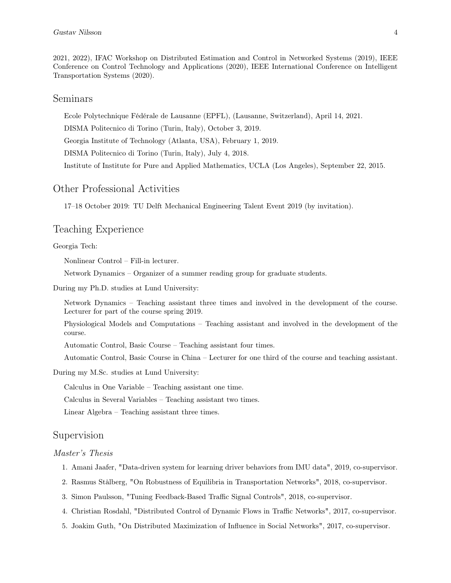2021, 2022), IFAC Workshop on Distributed Estimation and Control in Networked Systems (2019), IEEE Conference on Control Technology and Applications (2020), IEEE International Conference on Intelligent Transportation Systems (2020).

#### Seminars

Ecole Polytechnique Fédérale de Lausanne (EPFL), (Lausanne, Switzerland), April 14, 2021.

DISMA Politecnico di Torino (Turin, Italy), October 3, 2019.

Georgia Institute of Technology (Atlanta, USA), February 1, 2019.

DISMA Politecnico di Torino (Turin, Italy), July 4, 2018.

Institute of Institute for Pure and Applied Mathematics, UCLA (Los Angeles), September 22, 2015.

#### Other Professional Activities

17–18 October 2019: TU Delft Mechanical Engineering Talent Event 2019 (by invitation).

### Teaching Experience

Georgia Tech:

Nonlinear Control – Fill-in lecturer.

Network Dynamics – Organizer of a summer reading group for graduate students.

During my Ph.D. studies at Lund University:

Network Dynamics – Teaching assistant three times and involved in the development of the course. Lecturer for part of the course spring 2019.

Physiological Models and Computations – Teaching assistant and involved in the development of the course.

Automatic Control, Basic Course – Teaching assistant four times.

Automatic Control, Basic Course in China – Lecturer for one third of the course and teaching assistant.

During my M.Sc. studies at Lund University:

Calculus in One Variable – Teaching assistant one time.

Calculus in Several Variables – Teaching assistant two times.

Linear Algebra – Teaching assistant three times.

#### Supervision

#### Master's Thesis

- 1. Amani Jaafer, "Data-driven system for learning driver behaviors from IMU data", 2019, co-supervisor.
- 2. Rasmus Stålberg, "On Robustness of Equilibria in Transportation Networks", 2018, co-supervisor.
- 3. Simon Paulsson, "Tuning Feedback-Based Traffic Signal Controls", 2018, co-supervisor.
- 4. Christian Rosdahl, "Distributed Control of Dynamic Flows in Traffic Networks", 2017, co-supervisor.
- 5. Joakim Guth, "On Distributed Maximization of Influence in Social Networks", 2017, co-supervisor.